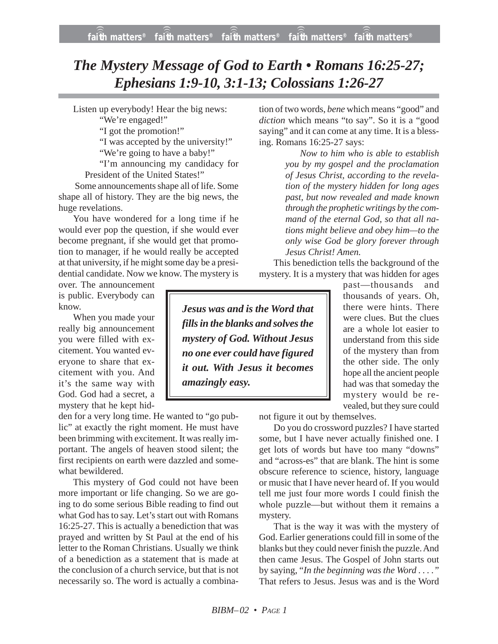## *The Mystery Message of God to Earth • Romans 16:25-27; Ephesians 1:9-10, 3:1-13; Colossians 1:26-27*

Listen up everybody! Hear the big news:

"We're engaged!"

"I got the promotion!"

"I was accepted by the university!"

"We're going to have a baby!"

"I'm announcing my candidacy for President of the United States!"

Some announcements shape all of life. Some shape all of history. They are the big news, the huge revelations.

You have wondered for a long time if he would ever pop the question, if she would ever become pregnant, if she would get that promotion to manager, if he would really be accepted at that university, if he might some day be a presidential candidate. Now we know. The mystery is

over. The announcement is public. Everybody can know.

When you made your really big announcement you were filled with excitement. You wanted everyone to share that excitement with you. And it's the same way with God. God had a secret, a mystery that he kept hid-

den for a very long time. He wanted to "go public" at exactly the right moment. He must have been brimming with excitement. It was really important. The angels of heaven stood silent; the first recipients on earth were dazzled and somewhat bewildered.

This mystery of God could not have been more important or life changing. So we are going to do some serious Bible reading to find out what God has to say. Let's start out with Romans 16:25-27. This is actually a benediction that was prayed and written by St Paul at the end of his letter to the Roman Christians. Usually we think of a benediction as a statement that is made at the conclusion of a church service, but that is not necessarily so. The word is actually a combination of two words, *bene* which means "good" and *diction* which means "to say". So it is a "good saying" and it can come at any time. It is a blessing. Romans 16:25-27 says:

> *Now to him who is able to establish you by my gospel and the proclamation of Jesus Christ, according to the revelation of the mystery hidden for long ages past, but now revealed and made known through the prophetic writings by the command of the eternal God, so that all nations might believe and obey him—to the only wise God be glory forever through Jesus Christ! Amen.*

This benediction tells the background of the mystery. It is a mystery that was hidden for ages

*Jesus was and is the Word that fills in the blanks and solves the mystery of God. Without Jesus no one ever could have figured it out. With Jesus it becomes amazingly easy.*

past—thousands and thousands of years. Oh, there were hints. There were clues. But the clues are a whole lot easier to understand from this side of the mystery than from the other side. The only hope all the ancient people had was that someday the mystery would be revealed, but they sure could

not figure it out by themselves.

Do you do crossword puzzles? I have started some, but I have never actually finished one. I get lots of words but have too many "downs" and "across-es" that are blank. The hint is some obscure reference to science, history, language or music that I have never heard of. If you would tell me just four more words I could finish the whole puzzle—but without them it remains a mystery.

That is the way it was with the mystery of God. Earlier generations could fill in some of the blanks but they could never finish the puzzle. And then came Jesus. The Gospel of John starts out by saying, "*In the beginning was the Word . . . ."* That refers to Jesus. Jesus was and is the Word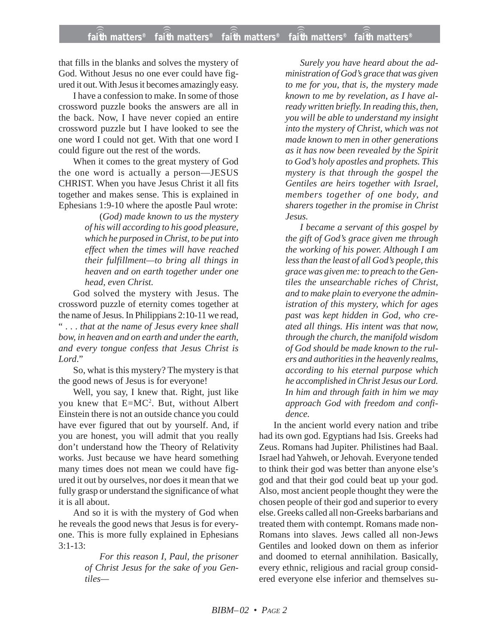that fills in the blanks and solves the mystery of God. Without Jesus no one ever could have figured it out. With Jesus it becomes amazingly easy.

I have a confession to make. In some of those crossword puzzle books the answers are all in the back. Now, I have never copied an entire crossword puzzle but I have looked to see the one word I could not get. With that one word I could figure out the rest of the words.

When it comes to the great mystery of God the one word is actually a person—JESUS CHRIST. When you have Jesus Christ it all fits together and makes sense. This is explained in Ephesians 1:9-10 where the apostle Paul wrote:

> (*God) made known to us the mystery of his will according to his good pleasure, which he purposed in Christ, to be put into effect when the times will have reached their fulfillment—to bring all things in heaven and on earth together under one head, even Christ.*

God solved the mystery with Jesus. The crossword puzzle of eternity comes together at the name of Jesus. In Philippians 2:10-11 we read, " . . . *that at the name of Jesus every knee shall bow, in heaven and on earth and under the earth, and every tongue confess that Jesus Christ is Lord*."

So, what is this mystery? The mystery is that the good news of Jesus is for everyone!

Well, you say, I knew that. Right, just like you knew that E=MC<sup>2</sup>. But, without Albert Einstein there is not an outside chance you could have ever figured that out by yourself. And, if you are honest, you will admit that you really don't understand how the Theory of Relativity works. Just because we have heard something many times does not mean we could have figured it out by ourselves, nor does it mean that we fully grasp or understand the significance of what it is all about.

And so it is with the mystery of God when he reveals the good news that Jesus is for everyone. This is more fully explained in Ephesians 3:1-13:

> *For this reason I, Paul, the prisoner of Christ Jesus for the sake of you Gentiles—*

*Surely you have heard about the administration of God's grace that was given to me for you, that is, the mystery made known to me by revelation, as I have already written briefly. In reading this, then, you will be able to understand my insight into the mystery of Christ, which was not made known to men in other generations as it has now been revealed by the Spirit to God's holy apostles and prophets. This mystery is that through the gospel the Gentiles are heirs together with Israel, members together of one body, and sharers together in the promise in Christ Jesus.*

*I became a servant of this gospel by the gift of God's grace given me through the working of his power. Although I am less than the least of all God's people, this grace was given me: to preach to the Gentiles the unsearchable riches of Christ, and to make plain to everyone the administration of this mystery, which for ages past was kept hidden in God, who created all things. His intent was that now, through the church, the manifold wisdom of God should be made known to the rulers and authorities in the heavenly realms, according to his eternal purpose which he accomplished in Christ Jesus our Lord. In him and through faith in him we may approach God with freedom and confidence.*

In the ancient world every nation and tribe had its own god. Egyptians had Isis. Greeks had Zeus. Romans had Jupiter. Philistines had Baal. Israel had Yahweh, or Jehovah. Everyone tended to think their god was better than anyone else's god and that their god could beat up your god. Also, most ancient people thought they were the chosen people of their god and superior to every else. Greeks called all non-Greeks barbarians and treated them with contempt. Romans made non-Romans into slaves. Jews called all non-Jews Gentiles and looked down on them as inferior and doomed to eternal annihilation. Basically, every ethnic, religious and racial group considered everyone else inferior and themselves su-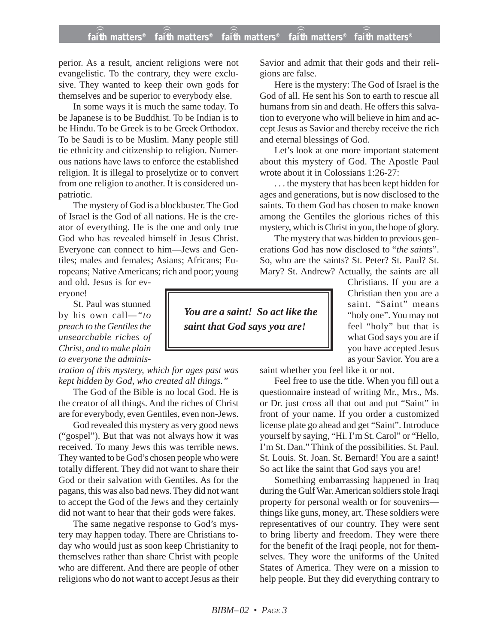## **faith matters® faith matters® faith matters® faith matters® faith matters®** ))) ))) faith matters® ))) )))

perior. As a result, ancient religions were not evangelistic. To the contrary, they were exclusive. They wanted to keep their own gods for themselves and be superior to everybody else.

In some ways it is much the same today. To be Japanese is to be Buddhist. To be Indian is to be Hindu. To be Greek is to be Greek Orthodox. To be Saudi is to be Muslim. Many people still tie ethnicity and citizenship to religion. Numerous nations have laws to enforce the established religion. It is illegal to proselytize or to convert from one religion to another. It is considered unpatriotic.

The mystery of God is a blockbuster. The God of Israel is the God of all nations. He is the creator of everything. He is the one and only true God who has revealed himself in Jesus Christ. Everyone can connect to him—Jews and Gentiles; males and females; Asians; Africans; Europeans; Native Americans; rich and poor; young

and old. Jesus is for everyone!

St. Paul was stunned by his own call*—"to preach to the Gentiles the unsearchable riches of Christ, and to make plain to everyone the adminis-*

*tration of this mystery, which for ages past was kept hidden by God, who created all things."*

The God of the Bible is no local God. He is the creator of all things. And the riches of Christ are for everybody, even Gentiles, even non-Jews.

God revealed this mystery as very good news ("gospel"). But that was not always how it was received. To many Jews this was terrible news. They wanted to be God's chosen people who were totally different. They did not want to share their God or their salvation with Gentiles. As for the pagans, this was also bad news. They did not want to accept the God of the Jews and they certainly did not want to hear that their gods were fakes.

The same negative response to God's mystery may happen today. There are Christians today who would just as soon keep Christianity to themselves rather than share Christ with people who are different. And there are people of other religions who do not want to accept Jesus as their Savior and admit that their gods and their religions are false.

Here is the mystery: The God of Israel is the God of all. He sent his Son to earth to rescue all humans from sin and death. He offers this salvation to everyone who will believe in him and accept Jesus as Savior and thereby receive the rich and eternal blessings of God.

Let's look at one more important statement about this mystery of God. The Apostle Paul wrote about it in Colossians 1:26-27:

. . . the mystery that has been kept hidden for ages and generations, but is now disclosed to the saints. To them God has chosen to make known among the Gentiles the glorious riches of this mystery, which is Christ in you, the hope of glory.

The mystery that was hidden to previous generations God has now disclosed to "*the saints*". So, who are the saints? St. Peter? St. Paul? St. Mary? St. Andrew? Actually, the saints are all

> Christians. If you are a Christian then you are a saint. "Saint" means "holy one". You may not feel "holy" but that is what God says you are if you have accepted Jesus as your Savior. You are a

*You are a saint! So act like the*

*saint that God says you are!*

saint whether you feel like it or not.

Feel free to use the title. When you fill out a questionnaire instead of writing Mr., Mrs., Ms. or Dr. just cross all that out and put "Saint" in front of your name. If you order a customized license plate go ahead and get "Saint". Introduce yourself by saying, "Hi. I'm St. Carol" or "Hello, I'm St. Dan." Think of the possibilities. St. Paul. St. Louis. St. Joan. St. Bernard! You are a saint! So act like the saint that God says you are!

Something embarrassing happened in Iraq during the Gulf War. American soldiers stole Iraqi property for personal wealth or for souvenirs things like guns, money, art. These soldiers were representatives of our country. They were sent to bring liberty and freedom. They were there for the benefit of the Iraqi people, not for themselves. They wore the uniforms of the United States of America. They were on a mission to help people. But they did everything contrary to